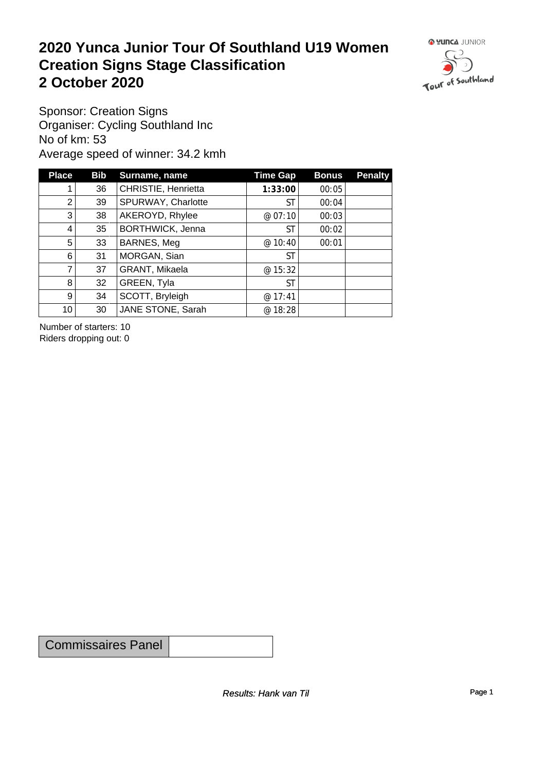#### **2020 Yunca Junior Tour Of Southland U19 Women Creation Signs Stage Classification**<br>
2 October 2020 **2 October 2020**



Sponsor: Creation Signs Organiser: Cycling Southland Inc No of km: 53 Average speed of winner: 34.2 kmh

| <b>Place</b>    | <b>Bib</b> | Surname, name       | <b>Time Gap</b> | <b>Bonus</b> | <b>Penalty</b> |
|-----------------|------------|---------------------|-----------------|--------------|----------------|
|                 | 36         | CHRISTIE, Henrietta | 1:33:00         | 00:05        |                |
| 2               | 39         | SPURWAY, Charlotte  | ST              | 00:04        |                |
| 3               | 38         | AKEROYD, Rhylee     | @07:10          | 00:03        |                |
| 4               | 35         | BORTHWICK, Jenna    | ST              | 00:02        |                |
| 5               | 33         | BARNES, Meg         | @10:40          | 00:01        |                |
| 6               | 31         | MORGAN, Sian        | <b>ST</b>       |              |                |
| 7               | 37         | GRANT, Mikaela      | @ 15:32         |              |                |
| 8               | 32         | GREEN, Tyla         | <b>ST</b>       |              |                |
| 9 <sup>1</sup>  | 34         | SCOTT, Bryleigh     | @17:41          |              |                |
| 10 <sup>1</sup> | 30         | JANE STONE, Sarah   | @ 18:28         |              |                |

Number of starters: 10 Riders dropping out: 0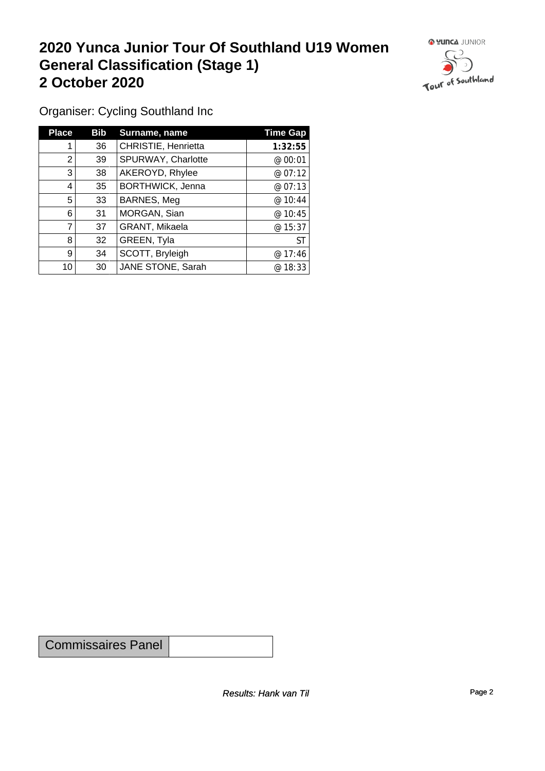#### **2020 Yunca Junior Tour Of Southland U19 Women General Classification (Stage 1)**<br>
2 October 2020 **2 October 2020**



Organiser: Cycling Southland Inc

| <b>Place</b> | Bib | Surname, name           | <b>Time Gap</b> |
|--------------|-----|-------------------------|-----------------|
|              | 36  | CHRISTIE, Henrietta     | 1:32:55         |
| 2            | 39  | SPURWAY, Charlotte      | @ 00:01         |
| 3            | 38  | AKEROYD, Rhylee         | @ 07:12         |
| 4            | 35  | <b>BORTHWICK, Jenna</b> | @07:13          |
| 5            | 33  | BARNES, Meg             | @ 10:44         |
| 6            | 31  | MORGAN, Sian            | @ 10:45         |
|              | 37  | GRANT, Mikaela          | @ 15:37         |
| 8            | 32  | GREEN, Tyla             | <b>ST</b>       |
| 9            | 34  | SCOTT, Bryleigh         | @17:46          |
| 10           | 30  | JANE STONE, Sarah       | @18:33          |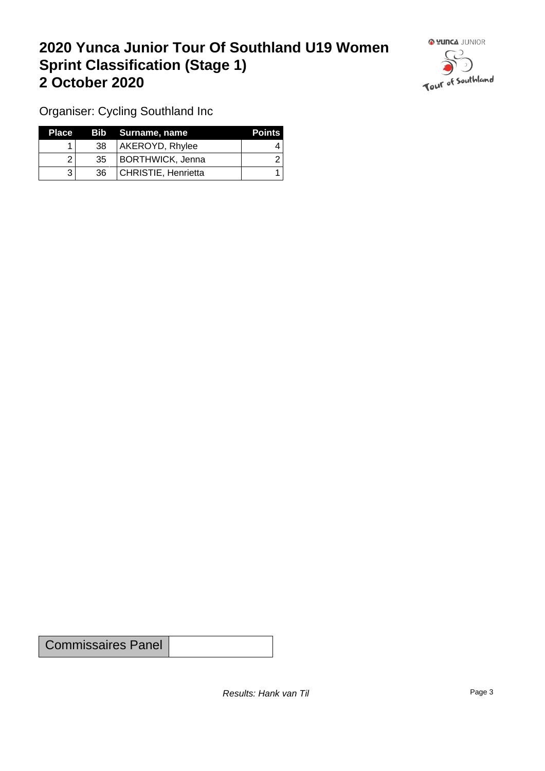## **2020 Yunca Junior Tour Of Southland U19 Women Sprint Classification (Stage 1) 2 October 2020**



Organiser: Cycling Southland Inc

| <b>Place</b> |                 | Bib Surname, name       | <b>Points</b> |
|--------------|-----------------|-------------------------|---------------|
|              | 38              | AKEROYD, Rhylee         |               |
|              | 35 <sup>1</sup> | <b>BORTHWICK, Jenna</b> |               |
|              | 36.             | CHRISTIE, Henrietta     |               |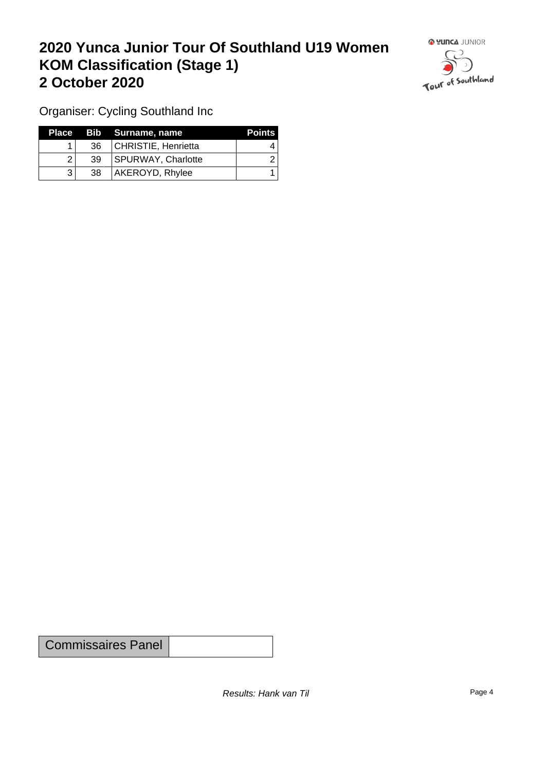## **2020 Yunca Junior Tour Of Southland U19 Women KOM Classification (Stage 1) 2 October 2020**



Organiser: Cycling Southland Inc

|    | Place Bib Surname, name | <b>Points</b> |
|----|-------------------------|---------------|
| 36 | CHRISTIE, Henrietta     |               |
| 39 | SPURWAY, Charlotte      |               |
| 38 | AKEROYD, Rhylee         |               |